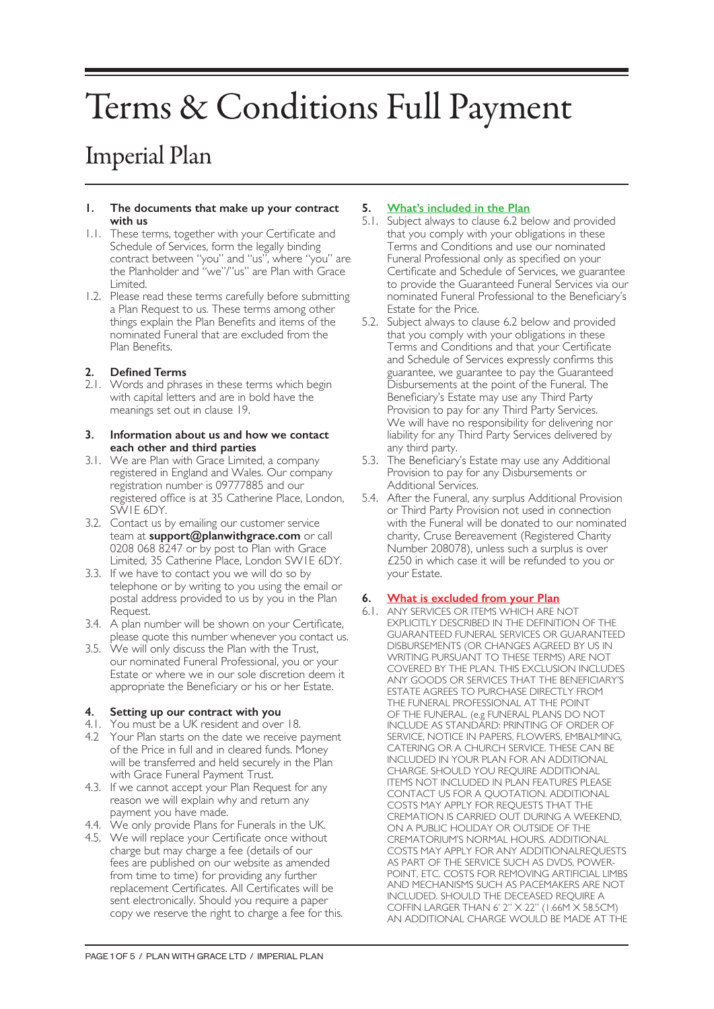# Terms & Conditions Full Payment

# Imperial Plan

#### **1. The documents that make up your contract with us**

- 1.1. These terms, together with your Certificate and Schedule of Services, form the legally binding contract between "you" and "us", where "you" are the Planholder and "we"/"us" are Plan with Grace Limited.
- 1.2. Please read these terms carefully before submitting a Plan Request to us. These terms among other things explain the Plan Benefits and items of the nominated Funeral that are excluded from the Plan Benefits.

# **2. Defined Terms**

2.1. Words and phrases in these terms which begin with capital letters and are in bold have the meanings set out in clause 19.

#### **3. Information about us and how we contact each other and third parties**

- 3.1. We are Plan with Grace Limited, a company registered in England and Wales. Our company registration number is 09777885 and our registered office is at 35 Catherine Place, London, SW1E 6DY.
- 3.2. Contact us by emailing our customer service team at **support@planwithgrace.com** or call 0208 068 8247 or by post to Plan with Grace Limited, 35 Catherine Place, London SW1E 6DY.
- 3.3. If we have to contact you we will do so by telephone or by writing to you using the email or postal address provided to us by you in the Plan Request.
- 3.4. A plan number will be shown on your Certificate, please quote this number whenever you contact us.
- 3.5. We will only discuss the Plan with the Trust, our nominated Funeral Professional, you or your Estate or where we in our sole discretion deem it appropriate the Beneficiary or his or her Estate.

# **4. Setting up our contract with you**

- 4.1. You must be a UK resident and over 18.
- 4.2 Your Plan starts on the date we receive payment of the Price in full and in cleared funds. Money will be transferred and held securely in the Plan with Grace Funeral Payment Trust.
- 4.3. If we cannot accept your Plan Request for any reason we will explain why and return any payment you have made.
- 4.4. We only provide Plans for Funerals in the UK.
- 4.5. We will replace your Certificate once without charge but may charge a fee (details of our fees are published on our website as amended from time to time) for providing any further replacement Certificates. All Certificates will be sent electronically. Should you require a paper copy we reserve the right to charge a fee for this.

# **5. What's included in the Plan**

- 5.1. Subject always to clause 6.2 below and provided that you comply with your obligations in these Terms and Conditions and use our nominated Funeral Professional only as specified on your Certificate and Schedule of Services, we guarantee to provide the Guaranteed Funeral Services via our nominated Funeral Professional to the Beneficiary's Estate for the Price.
- 5.2. Subject always to clause 6.2 below and provided that you comply with your obligations in these Terms and Conditions and that your Certificate and Schedule of Services expressly confirms this guarantee, we guarantee to pay the Guaranteed Disbursements at the point of the Funeral. The Beneficiary's Estate may use any Third Party Provision to pay for any Third Party Services. We will have no responsibility for delivering nor liability for any Third Party Services delivered by any third party.
- 5.3. The Beneficiary's Estate may use any Additional Provision to pay for any Disbursements or Additional Services.
- 5.4. After the Funeral, any surplus Additional Provision or Third Party Provision not used in connection with the Funeral will be donated to our nominated charity, Cruse Bereavement (Registered Charity Number 208078), unless such a surplus is over £250 in which case it will be refunded to you or your Estate.

# **6. What is excluded from your Plan**

6.1. ANY SERVICES OR ITEMS WHICH ARE NOT EXPLICITLY DESCRIBED IN THE DEFINITION OF THE GUARANTEED FUNERAL SERVICES OR GUARANTEED DISBURSEMENTS (OR CHANGES AGREED BY US IN WRITING PURSUANT TO THESE TERMS) ARE NOT COVERED BY THE PLAN. THIS EXCLUSION INCLUDES ANY GOODS OR SERVICES THAT THE BENEFICIARY'S ESTATE AGREES TO PURCHASE DIRECTLY FROM THE FUNERAL PROFESSIONAL AT THE POINT OF THE FUNERAL. (e.g FUNERAL PLANS DO NOT INCLUDE AS STANDARD: PRINTING OF ORDER OF SERVICE, NOTICE IN PAPERS, FLOWERS, EMBALMING, CATERING OR A CHURCH SERVICE. THESE CAN BE INCLUDED IN YOUR PLAN FOR AN ADDITIONAL CHARGE. SHOULD YOU REQUIRE ADDITIONAL ITEMS NOT INCLUDED IN PLAN FEATURES PLEASE CONTACT US FOR A QUOTATION. ADDITIONAL COSTS MAY APPLY FOR REQUESTS THAT THE CREMATION IS CARRIED OUT DURING A WEEKEND, ON A PUBLIC HOLIDAY OR OUTSIDE OF THE CREMATORIUM'S NORMAL HOURS. ADDITIONAL COSTS MAY APPLY FOR ANY ADDITIONALREQUESTS AS PART OF THE SERVICE SUCH AS DVDS, POWER-POINT, ETC. COSTS FOR REMOVING ARTIFICIAL LIMBS AND MECHANISMS SUCH AS PACEMAKERS ARE NOT INCLUDED. SHOULD THE DECEASED REQUIRE A COFFIN LARGER THAN 6' 2" X 22" (1.66M X 58.5CM) AN ADDITIONAL CHARGE WOULD BE MADE AT THE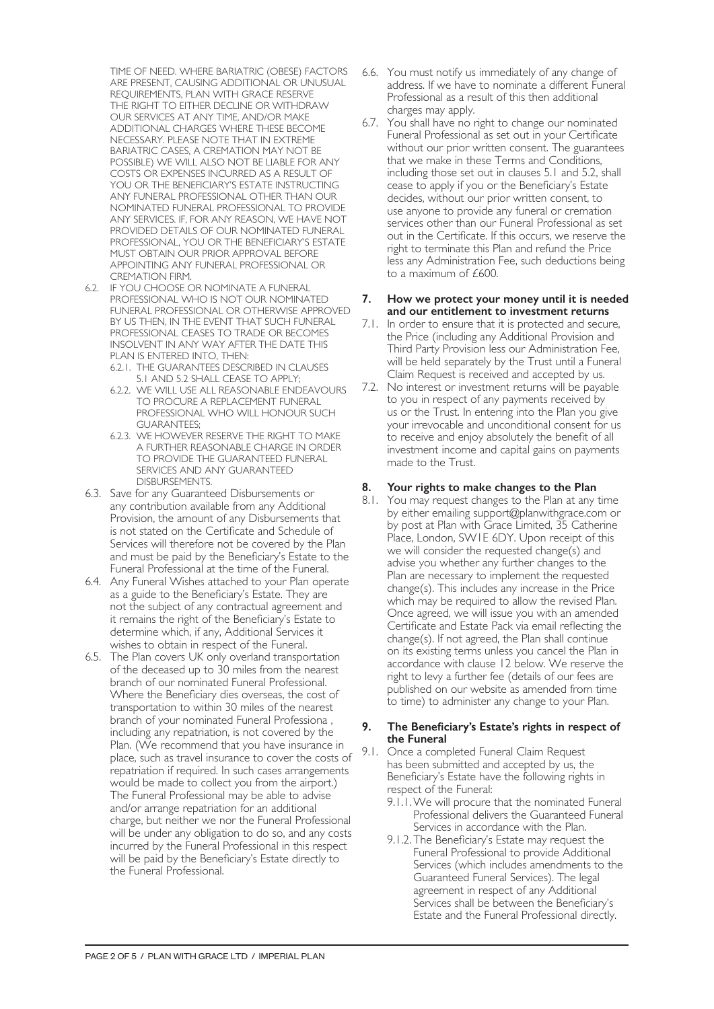TIME OF NEED. WHERE BARIATRIC (OBESE) FACTORS ARE PRESENT, CAUSING ADDITIONAL OR UNUSUAL REQUIREMENTS, PLAN WITH GRACE RESERVE THE RIGHT TO EITHER DECLINE OR WITHDRAW OUR SERVICES AT ANY TIME, AND/OR MAKE ADDITIONAL CHARGES WHERE THESE BECOME NECESSARY. PLEASE NOTE THAT IN EXTREME BARIATRIC CASES, A CREMATION MAY NOT BE POSSIBLE) WE WILL ALSO NOT BE LIABLE FOR ANY COSTS OR EXPENSES INCURRED AS A RESULT OF YOU OR THE BENEFICIARY'S ESTATE INSTRUCTING ANY FUNERAL PROFESSIONAL OTHER THAN OUR NOMINATED FUNERAL PROFESSIONAL TO PROVIDE ANY SERVICES. IF, FOR ANY REASON, WE HAVE NOT PROVIDED DETAILS OF OUR NOMINATED FUNERAL PROFESSIONAL, YOU OR THE BENEFICIARY'S ESTATE MUST OBTAIN OUR PRIOR APPROVAL BEFORE APPOINTING ANY FUNERAL PROFESSIONAL OR CREMATION FIRM.

- 6.2. IF YOU CHOOSE OR NOMINATE A FUNERAL PROFESSIONAL WHO IS NOT OUR NOMINATED FUNERAL PROFESSIONAL OR OTHERWISE APPROVED BY US THEN, IN THE EVENT THAT SUCH FUNERAL PROFESSIONAL CEASES TO TRADE OR BECOMES INSOLVENT IN ANY WAY AFTER THE DATE THIS PLAN IS ENTERED INTO, THEN:
	- 6.2.1. THE GUARANTEES DESCRIBED IN CLAUSES 5.1 AND 5.2 SHALL CEASE TO APPLY;
	- 6.2.2. WE WILL USE ALL REASONABLE ENDEAVOURS TO PROCURE A REPLACEMENT FUNERAL PROFESSIONAL WHO WILL HONOUR SUCH GUARANTEES;
	- 6.2.3. WE HOWEVER RESERVE THE RIGHT TO MAKE A FURTHER REASONABLE CHARGE IN ORDER TO PROVIDE THE GUARANTEED FUNERAL SERVICES AND ANY GUARANTEED DISBURSEMENTS.
- 6.3. Save for any Guaranteed Disbursements or any contribution available from any Additional Provision, the amount of any Disbursements that is not stated on the Certificate and Schedule of Services will therefore not be covered by the Plan and must be paid by the Beneficiary's Estate to the Funeral Professional at the time of the Funeral.
- 6.4. Any Funeral Wishes attached to your Plan operate as a guide to the Beneficiary's Estate. They are not the subject of any contractual agreement and it remains the right of the Beneficiary's Estate to determine which, if any, Additional Services it wishes to obtain in respect of the Funeral.
- 6.5. The Plan covers UK only overland transportation of the deceased up to 30 miles from the nearest branch of our nominated Funeral Professional. Where the Beneficiary dies overseas, the cost of transportation to within 30 miles of the nearest branch of your nominated Funeral Professiona , including any repatriation, is not covered by the Plan. (We recommend that you have insurance in place, such as travel insurance to cover the costs of repatriation if required. In such cases arrangements would be made to collect you from the airport.) The Funeral Professional may be able to advise and/or arrange repatriation for an additional charge, but neither we nor the Funeral Professional will be under any obligation to do so, and any costs incurred by the Funeral Professional in this respect will be paid by the Beneficiary's Estate directly to the Funeral Professional.
- 6.6. You must notify us immediately of any change of address. If we have to nominate a different Funeral Professional as a result of this then additional charges may apply.
- 6.7. You shall have no right to change our nominated Funeral Professional as set out in your Certificate without our prior written consent. The guarantees that we make in these Terms and Conditions, including those set out in clauses 5.1 and 5.2, shall cease to apply if you or the Beneficiary's Estate decides, without our prior written consent, to use anyone to provide any funeral or cremation services other than our Funeral Professional as set out in the Certificate. If this occurs, we reserve the right to terminate this Plan and refund the Price less any Administration Fee, such deductions being to a maximum of £600.

#### **7. How we protect your money until it is needed and our entitlement to investment returns**

- 7.1. In order to ensure that it is protected and secure, the Price (including any Additional Provision and Third Party Provision less our Administration Fee, will be held separately by the Trust until a Funeral Claim Request is received and accepted by us.
- 7.2. No interest or investment returns will be payable to you in respect of any payments received by us or the Trust. In entering into the Plan you give your irrevocable and unconditional consent for us to receive and enjoy absolutely the benefit of all investment income and capital gains on payments made to the Trust.

# **8. Your rights to make changes to the Plan**

8.1. You may request changes to the Plan at any time by either emailing support@planwithgrace.com or by post at Plan with Grace Limited, 35 Catherine Place, London, SW1E 6DY. Upon receipt of this we will consider the requested change(s) and advise you whether any further changes to the Plan are necessary to implement the requested change(s). This includes any increase in the Price which may be required to allow the revised Plan. Once agreed, we will issue you with an amended Certificate and Estate Pack via email reflecting the change(s). If not agreed, the Plan shall continue on its existing terms unless you cancel the Plan in accordance with clause 12 below. We reserve the right to levy a further fee (details of our fees are published on our website as amended from time to time) to administer any change to your Plan.

#### **9. The Beneficiary's Estate's rights in respect of the Funeral**

- 9.1. Once a completed Funeral Claim Request has been submitted and accepted by us, the Beneficiary's Estate have the following rights in respect of the Funeral:
	- 9.1.1.We will procure that the nominated Funeral Professional delivers the Guaranteed Funeral Services in accordance with the Plan.
	- 9.1.2. The Beneficiary's Estate may request the Funeral Professional to provide Additional Services (which includes amendments to the Guaranteed Funeral Services). The legal agreement in respect of any Additional Services shall be between the Beneficiary's Estate and the Funeral Professional directly.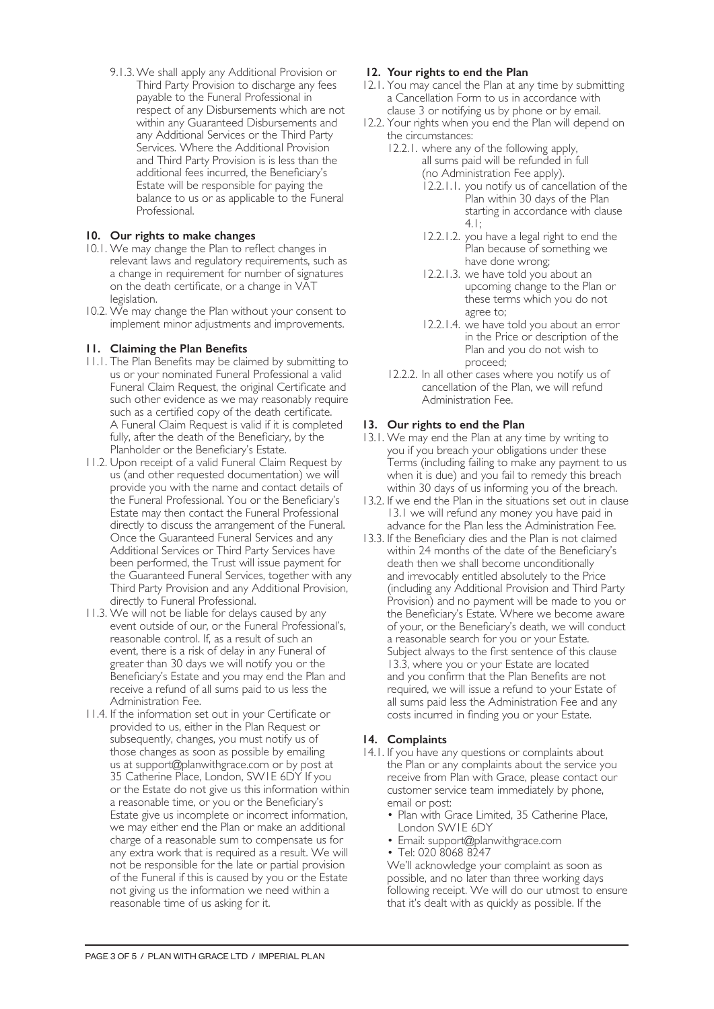9.1.3.We shall apply any Additional Provision or Third Party Provision to discharge any fees payable to the Funeral Professional in respect of any Disbursements which are not within any Guaranteed Disbursements and any Additional Services or the Third Party Services. Where the Additional Provision and Third Party Provision is is less than the additional fees incurred, the Beneficiary's Estate will be responsible for paying the balance to us or as applicable to the Funeral Professional.

# **10. Our rights to make changes**

- 10.1. We may change the Plan to reflect changes in relevant laws and regulatory requirements, such as a change in requirement for number of signatures on the death certificate, or a change in VAT legislation.
- 10.2. We may change the Plan without your consent to implement minor adjustments and improvements.

# **11. Claiming the Plan Benefits**

- 11.1. The Plan Benefits may be claimed by submitting to us or your nominated Funeral Professional a valid Funeral Claim Request, the original Certificate and such other evidence as we may reasonably require such as a certified copy of the death certificate. A Funeral Claim Request is valid if it is completed fully, after the death of the Beneficiary, by the Planholder or the Beneficiary's Estate.
- 11.2. Upon receipt of a valid Funeral Claim Request by us (and other requested documentation) we will provide you with the name and contact details of the Funeral Professional. You or the Beneficiary's Estate may then contact the Funeral Professional directly to discuss the arrangement of the Funeral. Once the Guaranteed Funeral Services and any Additional Services or Third Party Services have been performed, the Trust will issue payment for the Guaranteed Funeral Services, together with any Third Party Provision and any Additional Provision, directly to Funeral Professional.
- 11.3. We will not be liable for delays caused by any event outside of our, or the Funeral Professional's, reasonable control. If, as a result of such an event, there is a risk of delay in any Funeral of greater than 30 days we will notify you or the Beneficiary's Estate and you may end the Plan and receive a refund of all sums paid to us less the Administration Fee.
- 11.4. If the information set out in your Certificate or provided to us, either in the Plan Request or subsequently, changes, you must notify us of those changes as soon as possible by emailing us at support@planwithgrace.com or by post at 35 Catherine Place, London, SW1E 6DY If you or the Estate do not give us this information within a reasonable time, or you or the Beneficiary's Estate give us incomplete or incorrect information, we may either end the Plan or make an additional charge of a reasonable sum to compensate us for any extra work that is required as a result. We will not be responsible for the late or partial provision of the Funeral if this is caused by you or the Estate not giving us the information we need within a reasonable time of us asking for it.

# **12. Your rights to end the Plan**

- 12.1. You may cancel the Plan at any time by submitting a Cancellation Form to us in accordance with clause 3 or notifying us by phone or by email.
- 12.2. Your rights when you end the Plan will depend on the circumstances:
	- 12.2.1. where any of the following apply, all sums paid will be refunded in full (no Administration Fee apply).
		- 12.2.1.1. you notify us of cancellation of the Plan within 30 days of the Plan starting in accordance with clause 4.1;
		- 12.2.1.2. you have a legal right to end the Plan because of something we have done wrong;
		- 12.2.1.3. we have told you about an upcoming change to the Plan or these terms which you do not agree to;
		- 12.2.1.4. we have told you about an error in the Price or description of the Plan and you do not wish to proceed;
	- 12.2.2. In all other cases where you notify us of cancellation of the Plan, we will refund Administration Fee.

# **13. Our rights to end the Plan**

- 13.1. We may end the Plan at any time by writing to you if you breach your obligations under these Terms (including failing to make any payment to us when it is due) and you fail to remedy this breach within 30 days of us informing you of the breach.
- 13.2. If we end the Plan in the situations set out in clause 13.1 we will refund any money you have paid in advance for the Plan less the Administration Fee.
- 13.3. If the Beneficiary dies and the Plan is not claimed within 24 months of the date of the Beneficiary's death then we shall become unconditionally and irrevocably entitled absolutely to the Price (including any Additional Provision and Third Party Provision) and no payment will be made to you or the Beneficiary's Estate. Where we become aware of your, or the Beneficiary's death, we will conduct a reasonable search for you or your Estate. Subject always to the first sentence of this clause 13.3, where you or your Estate are located and you confirm that the Plan Benefits are not required, we will issue a refund to your Estate of all sums paid less the Administration Fee and any costs incurred in finding you or your Estate.

#### **14. Complaints**

- 14.1. If you have any questions or complaints about the Plan or any complaints about the service you receive from Plan with Grace, please contact our customer service team immediately by phone, email or post:
	- Plan with Grace Limited, 35 Catherine Place, London SW1E 6DY
	- Email: support@planwithgrace.com
	- Tel: 020 8068 8247

We'll acknowledge your complaint as soon as possible, and no later than three working days following receipt. We will do our utmost to ensure that it's dealt with as quickly as possible. If the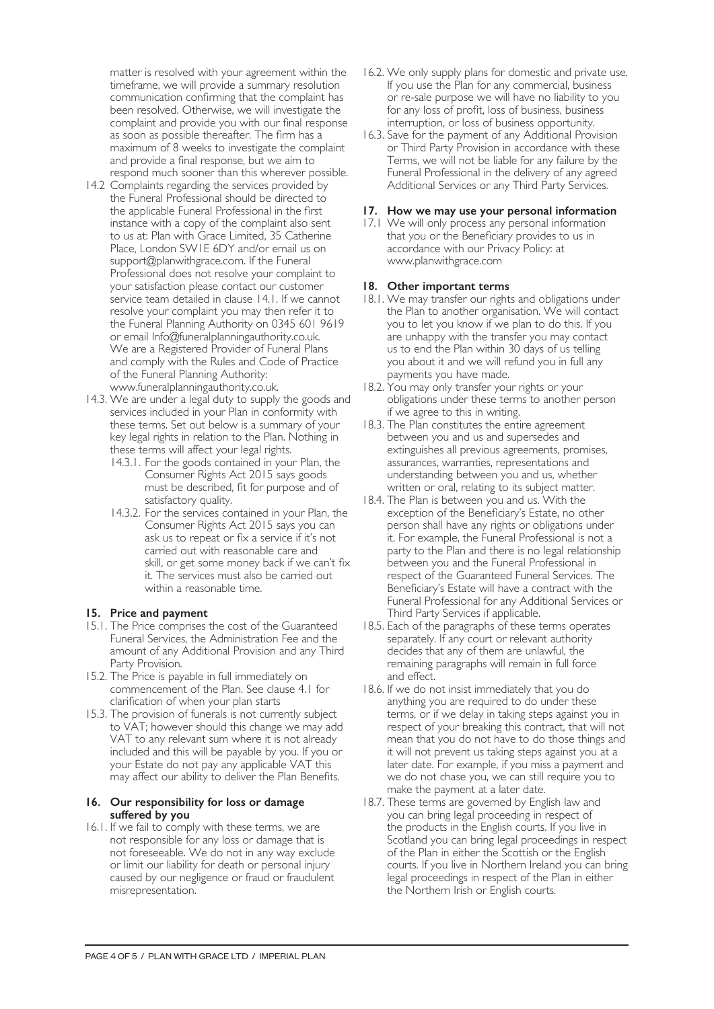matter is resolved with your agreement within the timeframe, we will provide a summary resolution communication confirming that the complaint has been resolved. Otherwise, we will investigate the complaint and provide you with our final response as soon as possible thereafter. The firm has a maximum of 8 weeks to investigate the complaint and provide a final response, but we aim to respond much sooner than this wherever possible.

- 14.2 Complaints regarding the services provided by the Funeral Professional should be directed to the applicable Funeral Professional in the first instance with a copy of the complaint also sent to us at: Plan with Grace Limited, 35 Catherine Place, London SW1E 6DY and/or email us on support@planwithgrace.com. If the Funeral Professional does not resolve your complaint to your satisfaction please contact our customer service team detailed in clause 14.1. If we cannot resolve your complaint you may then refer it to the Funeral Planning Authority on 0345 601 9619 or email Info@funeralplanningauthority.co.uk. We are a Registered Provider of Funeral Plans and comply with the Rules and Code of Practice of the Funeral Planning Authority: www.funeralplanningauthority.co.uk.
- 14.3. We are under a legal duty to supply the goods and services included in your Plan in conformity with these terms. Set out below is a summary of your key legal rights in relation to the Plan. Nothing in these terms will affect your legal rights.
	- 14.3.1. For the goods contained in your Plan, the Consumer Rights Act 2015 says goods must be described, fit for purpose and of satisfactory quality.
	- 14.3.2. For the services contained in your Plan, the Consumer Rights Act 2015 says you can ask us to repeat or fix a service if it's not carried out with reasonable care and skill, or get some money back if we can't fix it. The services must also be carried out within a reasonable time.

# **15. Price and payment**

- 15.1. The Price comprises the cost of the Guaranteed Funeral Services, the Administration Fee and the amount of any Additional Provision and any Third Party Provision.
- 15.2. The Price is payable in full immediately on commencement of the Plan. See clause 4.1 for clarification of when your plan starts
- 15.3. The provision of funerals is not currently subject to VAT; however should this change we may add VAT to any relevant sum where it is not already included and this will be payable by you. If you or your Estate do not pay any applicable VAT this may affect our ability to deliver the Plan Benefits.

#### **16. Our responsibility for loss or damage suffered by you**

16.1. If we fail to comply with these terms, we are not responsible for any loss or damage that is not foreseeable. We do not in any way exclude or limit our liability for death or personal injury caused by our negligence or fraud or fraudulent misrepresentation.

- 16.2. We only supply plans for domestic and private use. If you use the Plan for any commercial, business or re-sale purpose we will have no liability to you for any loss of profit, loss of business, business interruption, or loss of business opportunity.
- 16.3. Save for the payment of any Additional Provision or Third Party Provision in accordance with these Terms, we will not be liable for any failure by the Funeral Professional in the delivery of any agreed Additional Services or any Third Party Services.

#### **17. How we may use your personal information**

17.1 We will only process any personal information that you or the Beneficiary provides to us in accordance with our Privacy Policy: at www.planwithgrace.com

# **18. Other important terms**

- 18.1. We may transfer our rights and obligations under the Plan to another organisation. We will contact you to let you know if we plan to do this. If you are unhappy with the transfer you may contact us to end the Plan within 30 days of us telling you about it and we will refund you in full any payments you have made.
- 18.2. You may only transfer your rights or your obligations under these terms to another person if we agree to this in writing.
- 18.3. The Plan constitutes the entire agreement between you and us and supersedes and extinguishes all previous agreements, promises, assurances, warranties, representations and understanding between you and us, whether written or oral, relating to its subject matter.
- 18.4. The Plan is between you and us. With the exception of the Beneficiary's Estate, no other person shall have any rights or obligations under it. For example, the Funeral Professional is not a party to the Plan and there is no legal relationship between you and the Funeral Professional in respect of the Guaranteed Funeral Services. The Beneficiary's Estate will have a contract with the Funeral Professional for any Additional Services or Third Party Services if applicable.
- 18.5. Each of the paragraphs of these terms operates separately. If any court or relevant authority decides that any of them are unlawful, the remaining paragraphs will remain in full force and effect.
- 18.6. If we do not insist immediately that you do anything you are required to do under these terms, or if we delay in taking steps against you in respect of your breaking this contract, that will not mean that you do not have to do those things and it will not prevent us taking steps against you at a later date. For example, if you miss a payment and we do not chase you, we can still require you to make the payment at a later date.
- 18.7. These terms are governed by English law and you can bring legal proceeding in respect of the products in the English courts. If you live in Scotland you can bring legal proceedings in respect of the Plan in either the Scottish or the English courts. If you live in Northern Ireland you can bring legal proceedings in respect of the Plan in either the Northern Irish or English courts.